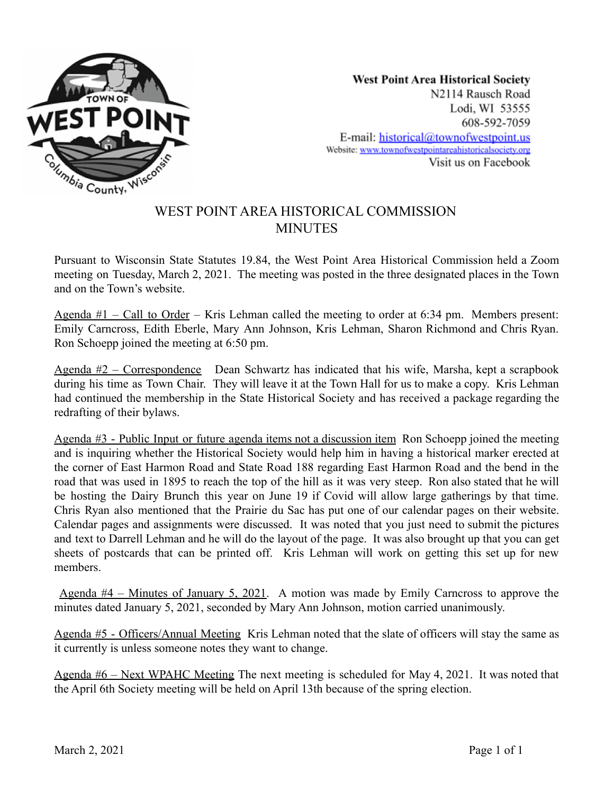

**West Point Area Historical Society** N2114 Rausch Road Lodi, WI 53555 608-592-7059 E-mail: historical@townofwestpoint.us Website: www.townofwestpointareahistoricalsociety.org Visit us on Facebook

## WEST POINT AREA HISTORICAL COMMISSION MINUTES

Pursuant to Wisconsin State Statutes 19.84, the West Point Area Historical Commission held a Zoom meeting on Tuesday, March 2, 2021. The meeting was posted in the three designated places in the Town and on the Town's website.

Agenda  $#1 -$ Call to Order – Kris Lehman called the meeting to order at 6:34 pm. Members present: Emily Carncross, Edith Eberle, Mary Ann Johnson, Kris Lehman, Sharon Richmond and Chris Ryan. Ron Schoepp joined the meeting at 6:50 pm.

Agenda #2 – Correspondence Dean Schwartz has indicated that his wife, Marsha, kept a scrapbook during his time as Town Chair. They will leave it at the Town Hall for us to make a copy. Kris Lehman had continued the membership in the State Historical Society and has received a package regarding the redrafting of their bylaws.

Agenda #3 - Public Input or future agenda items not a discussion item Ron Schoepp joined the meeting and is inquiring whether the Historical Society would help him in having a historical marker erected at the corner of East Harmon Road and State Road 188 regarding East Harmon Road and the bend in the road that was used in 1895 to reach the top of the hill as it was very steep. Ron also stated that he will be hosting the Dairy Brunch this year on June 19 if Covid will allow large gatherings by that time. Chris Ryan also mentioned that the Prairie du Sac has put one of our calendar pages on their website. Calendar pages and assignments were discussed. It was noted that you just need to submit the pictures and text to Darrell Lehman and he will do the layout of the page. It was also brought up that you can get sheets of postcards that can be printed off. Kris Lehman will work on getting this set up for new members.

Agenda #4 – Minutes of January 5, 2021. A motion was made by Emily Carncross to approve the minutes dated January 5, 2021, seconded by Mary Ann Johnson, motion carried unanimously.

Agenda #5 - Officers/Annual Meeting Kris Lehman noted that the slate of officers will stay the same as it currently is unless someone notes they want to change.

Agenda #6 – Next WPAHC Meeting The next meeting is scheduled for May 4, 2021. It was noted that the April 6th Society meeting will be held on April 13th because of the spring election.